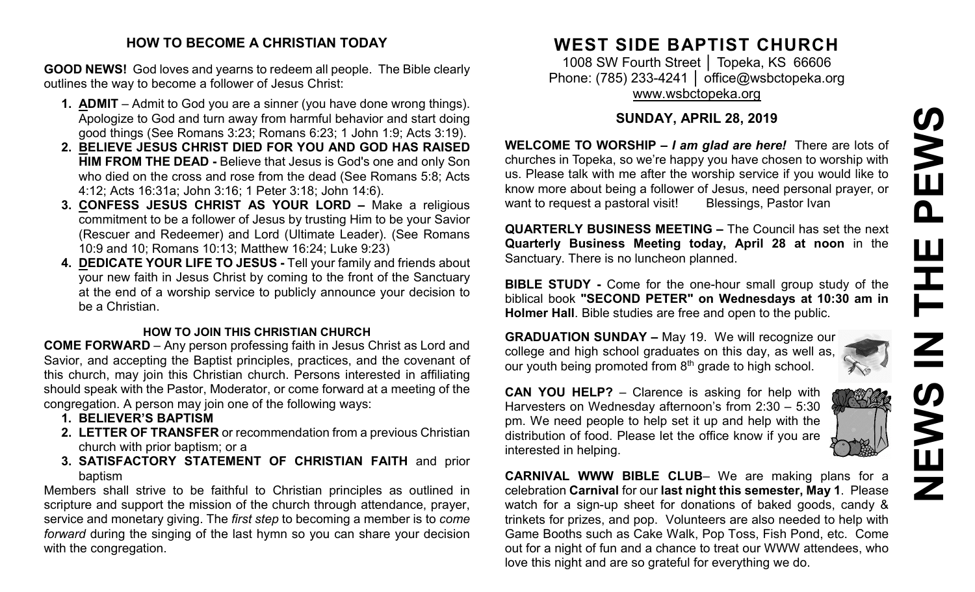# **NEWS IN THE PEWS**EWS  $\mathbf{\Omega}$ Ш 즌 **NEW**

#### **HOW TO BECOME A CHRISTIAN TODAY**

**GOOD NEWS!** God loves and yearns to redeem all people. The Bible clearly outlines the way to become a follower of Jesus Christ:

- **1. ADMIT** Admit to God you are a sinner (you have done wrong things). Apologize to God and turn away from harmful behavior and start doing good things (See Romans 3:23; Romans 6:23; 1 John 1:9; Acts 3:19).
- **2. BELIEVE JESUS CHRIST DIED FOR YOU AND GOD HAS RAISED HIM FROM THE DEAD -** Believe that Jesus is God's one and only Son who died on the cross and rose from the dead (See Romans 5:8; Acts 4:12; Acts 16:31a; John 3:16; 1 Peter 3:18; John 14:6).
- **3. CONFESS JESUS CHRIST AS YOUR LORD –** Make a religious commitment to be a follower of Jesus by trusting Him to be your Savior (Rescuer and Redeemer) and Lord (Ultimate Leader). (See Romans 10:9 and 10; Romans 10:13; Matthew 16:24; Luke 9:23)
- **4. DEDICATE YOUR LIFE TO JESUS -** Tell your family and friends about your new faith in Jesus Christ by coming to the front of the Sanctuary at the end of a worship service to publicly announce your decision to be a Christian.

#### **HOW TO JOIN THIS CHRISTIAN CHURCH**

**COME FORWARD** – Any person professing faith in Jesus Christ as Lord and Savior, and accepting the Baptist principles, practices, and the covenant of this church, may join this Christian church. Persons interested in affiliating should speak with the Pastor, Moderator, or come forward at a meeting of the congregation. A person may join one of the following ways:

- **1. BELIEVER'S BAPTISM**
- **2. LETTER OF TRANSFER** or recommendation from a previous Christian church with prior baptism; or a
- **3. SATISFACTORY STATEMENT OF CHRISTIAN FAITH** and prior baptism

Members shall strive to be faithful to Christian principles as outlined in scripture and support the mission of the church through attendance, prayer, service and monetary giving. The *first step* to becoming a member is to *come forward* during the singing of the last hymn so you can share your decision with the congregation.

# **WEST SIDE BAPTIST CHURCH**

1008 SW Fourth Street | Topeka, KS 66606 Phone: (785) 233-4241 │ [office@wsbctopeka.org](mailto:office@wsbctopeka.org) [www.wsbctopeka.org](http://www.wsbctopeka.org/)

# **SUNDAY, APRIL 28, 2019**

**WELCOME TO WORSHIP –** *I am glad are here!* There are lots of churches in Topeka, so we're happy you have chosen to worship with us. Please talk with me after the worship service if you would like to know more about being a follower of Jesus, need personal prayer, or want to request a pastoral visit! Blessings, Pastor Ivan

**QUARTERLY BUSINESS MEETING –** The Council has set the next **Quarterly Business Meeting today, April 28 at noon** in the Sanctuary. There is no luncheon planned.

**BIBLE STUDY -** Come for the one-hour small group study of the biblical book **"SECOND PETER" on Wednesdays at 10:30 am in Holmer Hall**. Bible studies are free and open to the public.

**GRADUATION SUNDAY –** May 19. We will recognize our college and high school graduates on this day, as well as, our youth being promoted from  $8<sup>th</sup>$  grade to high school.

**CAN YOU HELP?** – Clarence is asking for help with Harvesters on Wednesday afternoon's from 2:30 – 5:30 pm. We need people to help set it up and help with the distribution of food. Please let the office know if you are interested in helping.

**CARNIVAL WWW BIBLE CLUB**– We are making plans for a celebration **Carnival** for our **last night this semester, May 1**. Please watch for a sign-up sheet for donations of baked goods, candy & trinkets for prizes, and pop. Volunteers are also needed to help with Game Booths such as Cake Walk, Pop Toss, Fish Pond, etc. Come out for a night of fun and a chance to treat our WWW attendees, who love this night and are so grateful for everything we do.

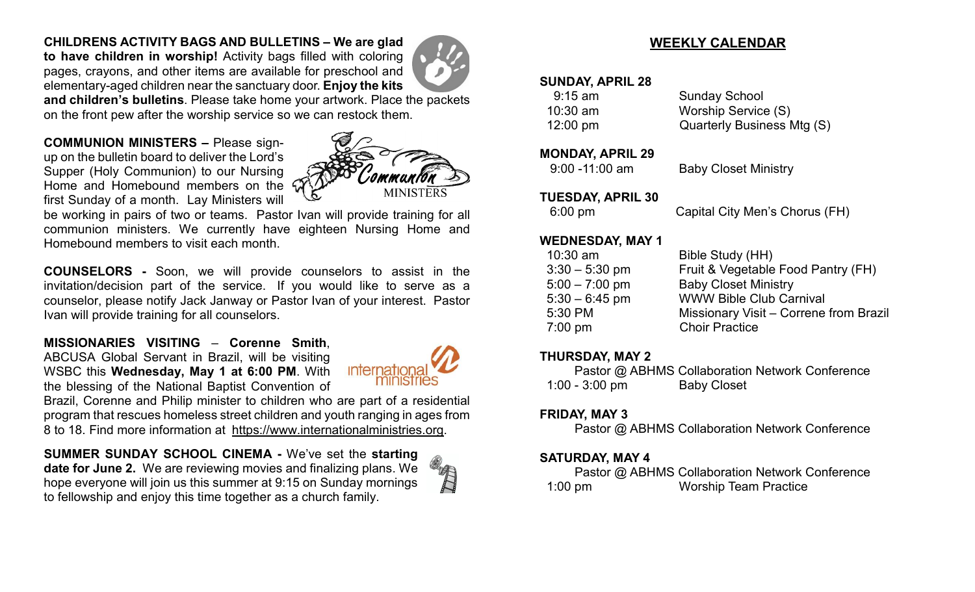# **CHILDRENS ACTIVITY BAGS AND BULLETINS – We are glad**

**to have children in worship!** Activity bags filled with coloring pages, crayons, and other items are available for preschool and elementary-aged children near the sanctuary door. **Enjoy the kits** 



**and children's bulletins**. Please take home your artwork. Place the packets on the front pew after the worship service so we can restock them.

**COMMUNION MINISTERS –** Please signup on the bulletin board to deliver the Lord's Supper (Holy Communion) to our Nursing Home and Homebound members on the first Sunday of a month. Lay Ministers will



be working in pairs of two or teams. Pastor Ivan will provide training for all communion ministers. We currently have eighteen Nursing Home and Homebound members to visit each month.

**COUNSELORS -** Soon, we will provide counselors to assist in the invitation/decision part of the service. If you would like to serve as a counselor, please notify Jack Janway or Pastor Ivan of your interest. Pastor Ivan will provide training for all counselors.

**MISSIONARIES VISITING** – **Corenne Smith**, ABCUSA Global Servant in Brazil, will be visiting WSBC this **Wednesday, May 1 at 6:00 PM**. With the blessing of the National Baptist Convention of



Brazil, Corenne and Philip minister to children who are part of a residential program that rescues homeless street children and youth ranging in ages from 8 to 18. Find more information at [https://www.internationalministries.org.](https://www.internationalministries.org/)

**SUMMER SUNDAY SCHOOL CINEMA -** We've set the **starting date for June 2.** We are reviewing movies and finalizing plans. We hope everyone will join us this summer at 9:15 on Sunday mornings to fellowship and enjoy this time together as a church family.



# **WEEKLY CALENDAR**

#### **SUNDAY, APRIL 28**

| $9:15$ am          | <b>Sunday School</b>       |
|--------------------|----------------------------|
| $10:30$ am         | Worship Service (S)        |
| $12:00 \text{ pm}$ | Quarterly Business Mtg (S) |

#### **MONDAY, APRIL 29**

9:00 -11:00 am Baby Closet Ministry

#### **TUESDAY, APRIL 30**

6:00 pm Capital City Men's Chorus (FH)

#### **WEDNESDAY, MAY 1**

| $10:30$ am       | Bible Study (HH)                       |
|------------------|----------------------------------------|
| $3:30 - 5:30$ pm | Fruit & Vegetable Food Pantry (FH)     |
| $5:00 - 7:00$ pm | <b>Baby Closet Ministry</b>            |
| $5:30 - 6:45$ pm | <b>WWW Bible Club Carnival</b>         |
| 5:30 PM          | Missionary Visit - Correne from Brazil |
| $7:00$ pm        | <b>Choir Practice</b>                  |
|                  |                                        |

#### **THURSDAY, MAY 2**

Pastor @ ABHMS Collaboration Network Conference 1:00 - 3:00 pm Baby Closet

# **FRIDAY, MAY 3**

Pastor @ ABHMS Collaboration Network Conference

#### **SATURDAY, MAY 4**

Pastor @ ABHMS Collaboration Network Conference 1:00 pm Worship Team Practice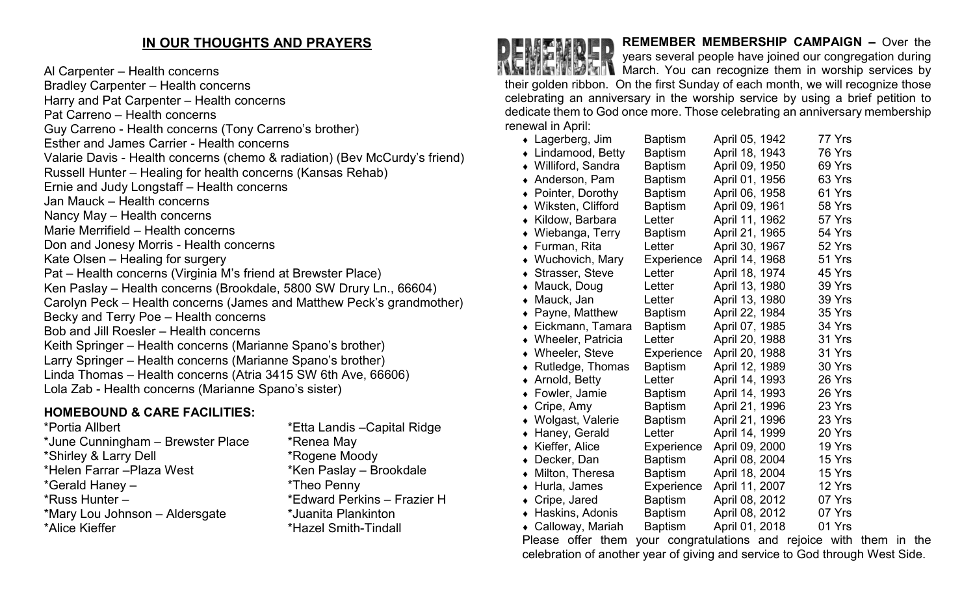# **IN OUR THOUGHTS AND PRAYERS**

Al Carpenter – Health concerns Bradley Carpenter – Health concerns Harry and Pat Carpenter – Health concerns Pat Carreno – Health concerns Guy Carreno - Health concerns (Tony Carreno's brother) Esther and James Carrier - Health concerns Valarie Davis - Health concerns (chemo & radiation) (Bev McCurdy's friend) Russell Hunter – Healing for health concerns (Kansas Rehab) Ernie and Judy Longstaff – Health concerns Jan Mauck – Health concerns Nancy May – Health concerns Marie Merrifield – Health concerns Don and Jonesy Morris - Health concerns Kate Olsen – Healing for surgery Pat – Health concerns (Virginia M's friend at Brewster Place) Ken Paslay – Health concerns (Brookdale, 5800 SW Drury Ln., 66604) Carolyn Peck – Health concerns (James and Matthew Peck's grandmother) Becky and Terry Poe – Health concerns Bob and Jill Roesler – Health concerns Keith Springer – Health concerns (Marianne Spano's brother) Larry Springer – Health concerns (Marianne Spano's brother) Linda Thomas – Health concerns (Atria 3415 SW 6th Ave, 66606) Lola Zab - Health concerns (Marianne Spano's sister)

# **HOMEBOUND & CARE FACILITIES:**

\*Portia Allbert \*Etta Landis –Capital Ridge \*June Cunningham – Brewster Place \*Renea May \*Shirley & Larry Dell \*Rogene Moody \*Helen Farrar –Plaza West \*Ken Paslay – Brookdale \*Gerald Haney – \*Theo Penny \*Russ Hunter – \*Edward Perkins – Frazier H \*Mary Lou Johnson – Aldersgate \*Juanita Plankinton \*Alice Kieffer \*Hazel Smith-Tindall

**REMEMBER MEMBERSHIP CAMPAIGN –** Over the years several people have joined our congregation during March. You can recognize them in worship services by their golden ribbon. On the first Sunday of each month, we will recognize those celebrating an anniversary in the worship service by using a brief petition to dedicate them to God once more. Those celebrating an anniversary membership renewal in April:

| $\bullet$ Lagerberg, Jim      | <b>Baptism</b> | April 05, 1942 | 77 Yrs |
|-------------------------------|----------------|----------------|--------|
| Lindamood, Betty              | <b>Baptism</b> | April 18, 1943 | 76 Yrs |
| • Williford, Sandra           | <b>Baptism</b> | April 09, 1950 | 69 Yrs |
| Anderson, Pam                 | <b>Baptism</b> | April 01, 1956 | 63 Yrs |
| Pointer, Dorothy              | <b>Baptism</b> | April 06, 1958 | 61 Yrs |
| Wiksten, Clifford             | <b>Baptism</b> | April 09, 1961 | 58 Yrs |
| Kildow, Barbara               | Letter         | April 11, 1962 | 57 Yrs |
| Wiebanga, Terry               | <b>Baptism</b> | April 21, 1965 | 54 Yrs |
| Furman, Rita                  | Letter         | April 30, 1967 | 52 Yrs |
| • Wuchovich, Mary             | Experience     | April 14, 1968 | 51 Yrs |
| Strasser, Steve<br>$\bullet$  | Letter         | April 18, 1974 | 45 Yrs |
| Mauck, Doug                   | Letter         | April 13, 1980 | 39 Yrs |
| Mauck, Jan                    | Letter         | April 13, 1980 | 39 Yrs |
| Payne, Matthew                | <b>Baptism</b> | April 22, 1984 | 35 Yrs |
| Eickmann, Tamara              | <b>Baptism</b> | April 07, 1985 | 34 Yrs |
| <b>Wheeler, Patricia</b>      | Letter         | April 20, 1988 | 31 Yrs |
| • Wheeler, Steve              | Experience     | April 20, 1988 | 31 Yrs |
| Rutledge, Thomas<br>$\bullet$ | <b>Baptism</b> | April 12, 1989 | 30 Yrs |
| Arnold, Betty<br>٠            | Letter         | April 14, 1993 | 26 Yrs |
| Fowler, Jamie                 | <b>Baptism</b> | April 14, 1993 | 26 Yrs |
| Cripe, Amy                    | <b>Baptism</b> | April 21, 1996 | 23 Yrs |
| Wolgast, Valerie<br>$\bullet$ | <b>Baptism</b> | April 21, 1996 | 23 Yrs |
| Haney, Gerald<br>٠            | Letter         | April 14, 1999 | 20 Yrs |
| Kieffer, Alice<br>$\bullet$   | Experience     | April 09, 2000 | 19 Yrs |
| Decker, Dan<br>٠              | <b>Baptism</b> | April 08, 2004 | 15 Yrs |
| Milton, Theresa<br>$\bullet$  | <b>Baptism</b> | April 18, 2004 | 15 Yrs |
| Hurla, James<br>$\bullet$     | Experience     | April 11, 2007 | 12 Yrs |
| Cripe, Jared<br>$\bullet$     | <b>Baptism</b> | April 08, 2012 | 07 Yrs |
| Haskins, Adonis               | <b>Baptism</b> | April 08, 2012 | 07 Yrs |
| Calloway, Mariah<br>$\bullet$ | <b>Baptism</b> | April 01, 2018 | 01 Yrs |

Please offer them your congratulations and rejoice with them in the celebration of another year of giving and service to God through West Side.